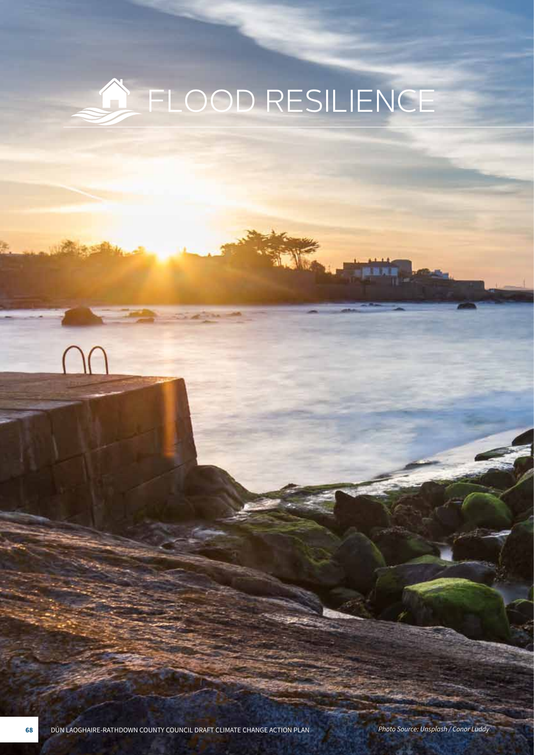# A FLOOD RESILIENCE

**68** DÚN LAOGHAIRE-RATHDOWN COUNTY COUNCIL DRAFT CLIMATE CHANGE ACTION PLAN *Photo Source: Unsplash / Conor Luddy*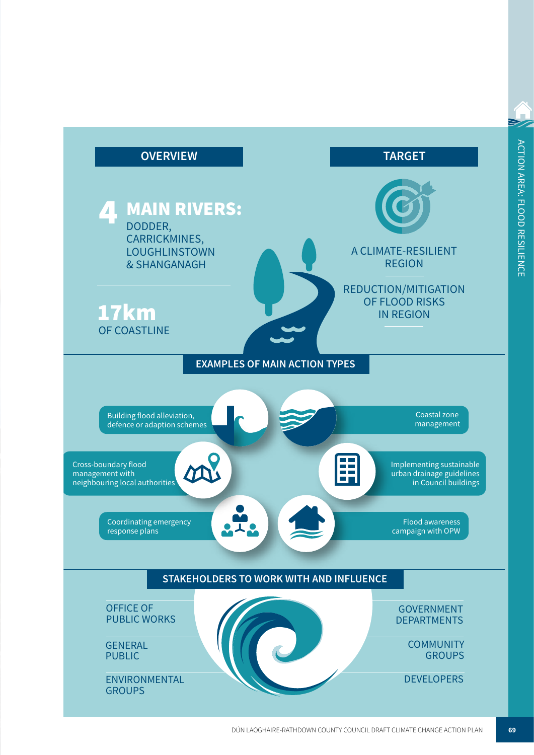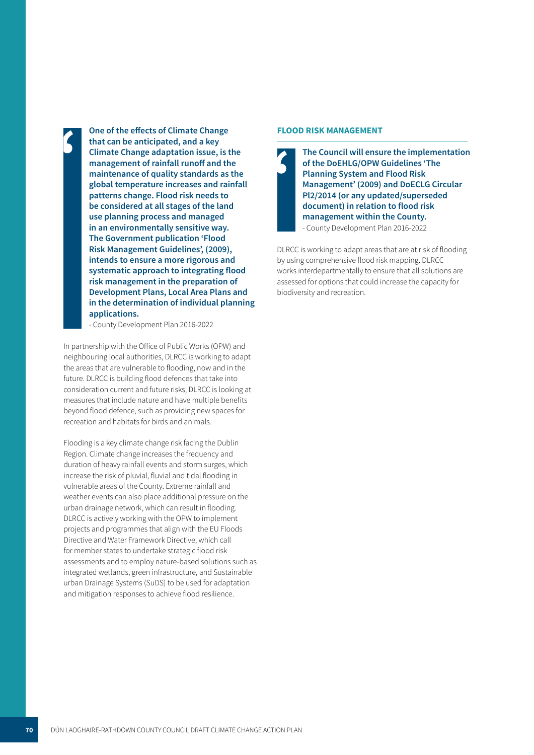**One of the effects of Climate Change that can be anticipated, and a key**<br>Climate Change adaptation issue **Climate Change adaptation issue, is the management of rainfall runoff and the maintenance of quality standards as the global temperature increases and rainfall patterns change. Flood risk needs to be considered at all stages of the land use planning process and managed in an environmentally sensitive way. The Government publication 'Flood Risk Management Guidelines', (2009), intends to ensure a more rigorous and systematic approach to integrating flood risk management in the preparation of Development Plans, Local Area Plans and in the determination of individual planning applications.** 

- County Development Plan 2016-2022

In partnership with the Office of Public Works (OPW) and neighbouring local authorities, DLRCC is working to adapt the areas that are vulnerable to flooding, now and in the future. DLRCC is building flood defences that take into consideration current and future risks; DLRCC is looking at measures that include nature and have multiple benefits beyond flood defence, such as providing new spaces for recreation and habitats for birds and animals.

Flooding is a key climate change risk facing the Dublin Region. Climate change increases the frequency and duration of heavy rainfall events and storm surges, which increase the risk of pluvial, fluvial and tidal flooding in vulnerable areas of the County. Extreme rainfall and weather events can also place additional pressure on the urban drainage network, which can result in flooding. DLRCC is actively working with the OPW to implement projects and programmes that align with the EU Floods Directive and Water Framework Directive, which call for member states to undertake strategic flood risk assessments and to employ nature-based solutions such as integrated wetlands, green infrastructure, and Sustainable urban Drainage Systems (SuDS) to be used for adaptation and mitigation responses to achieve flood resilience.

#### **FLOOD RISK MANAGEMENT**

**The Council will ensure the implementation of the DoEHLG/OPW Guidelines 'The**  i**Planning System and Flood Risk Management' (2009) and DoECLG Circular Pl2/2014 (or any updated/superseded document) in relation to flood risk management within the County.**  - County Development Plan 2016-2022

DLRCC is working to adapt areas that are at risk of flooding by using comprehensive flood risk mapping. DLRCC works interdepartmentally to ensure that all solutions are assessed for options that could increase the capacity for biodiversity and recreation.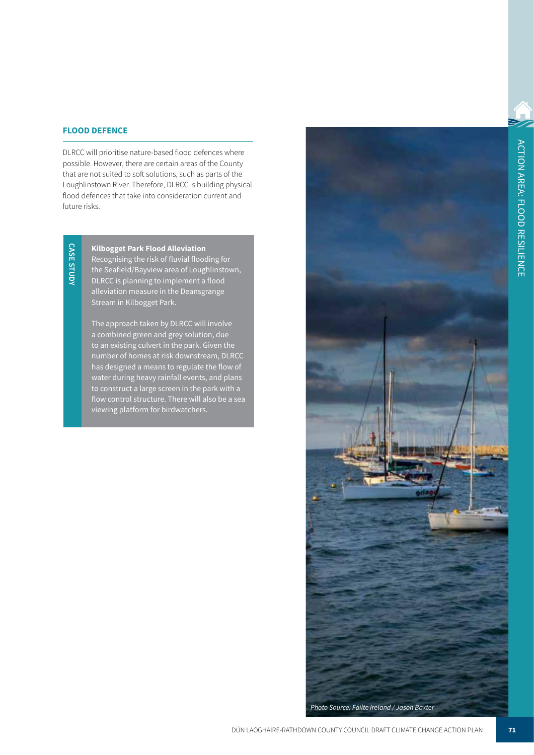#### **FLOOD DEFENCE**

DLRCC will prioritise nature-based flood defences where possible. However, there are certain areas of the County that are not suited to soft solutions, such as parts of the Loughlinstown River. Therefore, DLRCC is building physical flood defences that take into consideration current and future risks.

**CASE STUDY CASE STUDY**

**Kilbogget Park Flood Alleviation**  Recognising the risk of fluvial flooding for the Seafield/Bayview area of Loughlinstown, DLRCC is planning to implement a flood alleviation measure in the Deansgrange Stream in Kilbogget Park.

The approach taken by DLRCC will involve a combined green and grey solution, due to an existing culvert in the park. Given the number of homes at risk downstream, DLRCC has designed a means to regulate the flow of water during heavy rainfall events, and plans to construct a large screen in the park with a flow control structure. There will also be a sea viewing platform for birdwatchers.

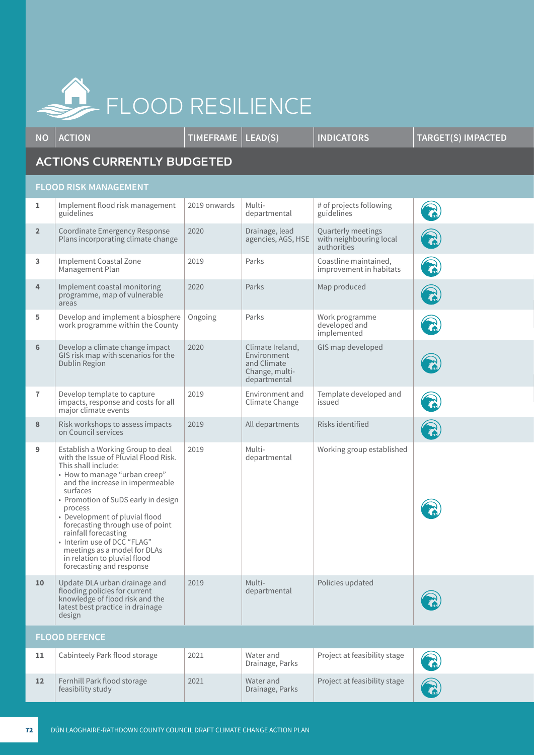

**NO ACTION TIMEFRAME LEAD(S) INDICATORS TARGET(S) IMPACTED ACTIONS CURRENTLY BUDGETED FLOOD RISK MANAGEMENT 1** | Implement flood risk management guidelines 2019 onwards | Multidepartmental # of projects following guidelines **2** Coordinate Emergency Response Plans incorporating climate change 2020 | Drainage, lead agencies, AGS, HSE Quarterly meetings with neighbouring local authorities **3** Implement Coastal Zone Management Plan 2019 **Parks** Coastline maintained, improvement in habitats **4** Implement coastal monitoring programme, map of vulnerable areas 2020 **Parks** Map produced **5** Develop and implement a biosphere work programme within the County Ongoing | Parks | Work programme developed and implemented **6** Develop a climate change impact GIS risk map with scenarios for the Dublin Region 2020 Climate Ireland, Environment and Climate Change, multidepartmental GIS map developed **7** Develop template to capture impacts, response and costs for all major climate events 2019 Environment and Climate Change Template developed and issued **8** Risk workshops to assess impacts on Council services 2019 | All departments | Risks identified **9** Establish a Working Group to deal with the Issue of Pluvial Flood Risk. This shall include: • How to manage "urban creep" and the increase in impermeable surfaces • Promotion of SuDS early in design process • Development of pluvial flood forecasting through use of point rainfall forecasting • Interim use of DCC "FLAG" meetings as a model for DLAs in relation to pluvial flood forecasting and response 2019 Multidepartmental Working group established 10 | Update DLA urban drainage and flooding policies for current knowledge of flood risk and the latest best practice in drainage design 2019 Multidepartmental Policies updated **FLOOD DEFENCE** 11 | Cabinteely Park flood storage | 2021 | Water and Drainage, Parks Project at feasibility stage

2021 Water and

Drainage, Parks

Project at feasibility stage

12 Fernhill Park flood storage feasibility study